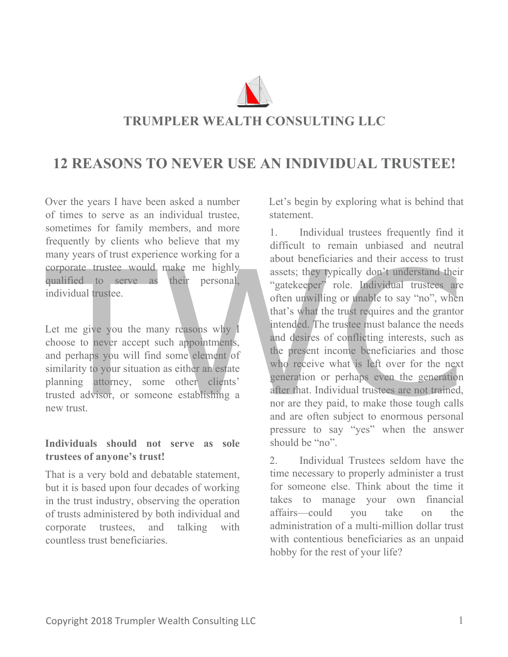

# **TRUMPLER WEALTH CONSULTING LLC**

# **12 REASONS TO NEVER USE AN INDIVIDUAL TRUSTEE!**

Over the years I have been asked a number of times to serve as an individual trustee, sometimes for family members, and more frequently by clients who believe that my many years of trust experience working for a corporate trustee would make me highly qualified to serve as their personal, individual trustee.

Let me give you the many reasons why I choose to never accept such appointments, and perhaps you will find some element of similarity to your situation as either an estate planning attorney, some other clients' trusted advisor, or someone establishing a new trust.

### **Individuals should not serve as sole trustees of anyone's trust!**

That is a very bold and debatable statement, but it is based upon four decades of working in the trust industry, observing the operation of trusts administered by both individual and corporate trustees, and talking with countless trust beneficiaries.

Let's begin by exploring what is behind that statement.

1. Individual trustees frequently find it difficult to remain unbiased and neutral about beneficiaries and their access to trust assets; they typically don't understand their "gatekeeper" role. Individual trustees are often unwilling or unable to say "no", when that's what the trust requires and the grantor intended. The trustee must balance the needs and desires of conflicting interests, such as the present income beneficiaries and those who receive what is left over for the next generation or perhaps even the generation after that. Individual trustees are not trained, nor are they paid, to make those tough calls and are often subject to enormous personal pressure to say "yes" when the answer should be "no".

2. Individual Trustees seldom have the time necessary to properly administer a trust for someone else. Think about the time it takes to manage your own financial affairs—could you take on the administration of a multi-million dollar trust with contentious beneficiaries as an unpaid hobby for the rest of your life?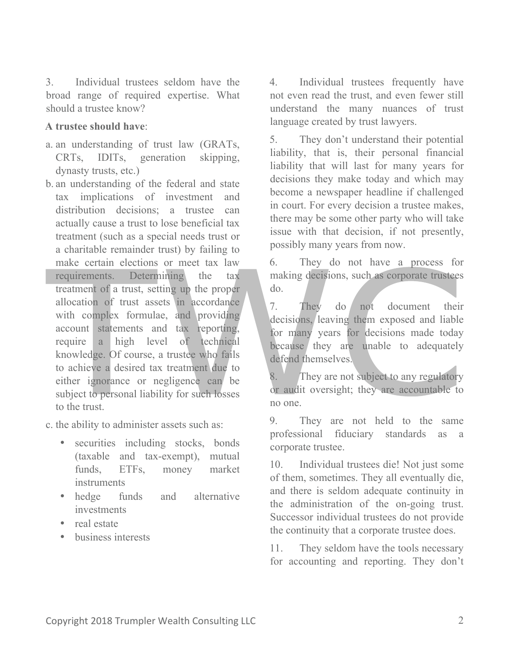3. Individual trustees seldom have the broad range of required expertise. What should a trustee know?

#### **A trustee should have**:

- a. an understanding of trust law (GRATs, CRTs, IDITs, generation skipping, dynasty trusts, etc.)
- b. an understanding of the federal and state tax implications of investment and distribution decisions; a trustee can actually cause a trust to lose beneficial tax treatment (such as a special needs trust or a charitable remainder trust) by failing to make certain elections or meet tax law requirements. Determining the tax treatment of a trust, setting up the proper allocation of trust assets in accordance with complex formulae, and providing account statements and tax reporting, require a high level of technical knowledge. Of course, a trustee who fails to achieve a desired tax treatment due to either ignorance or negligence can be subject to personal liability for such losses to the trust.

c. the ability to administer assets such as:

- securities including stocks, bonds (taxable and tax-exempt), mutual funds, ETFs, money market instruments
- hedge funds and alternative investments
- real estate
- business interests

4. Individual trustees frequently have not even read the trust, and even fewer still understand the many nuances of trust language created by trust lawyers.

5. They don't understand their potential liability, that is, their personal financial liability that will last for many years for decisions they make today and which may become a newspaper headline if challenged in court. For every decision a trustee makes, there may be some other party who will take issue with that decision, if not presently, possibly many years from now.

6. They do not have a process for making decisions, such as corporate trustees do.

7. They do not document their decisions, leaving them exposed and liable for many years for decisions made today because they are unable to adequately defend themselves.

8. They are not subject to any regulatory or audit oversight; they are accountable to no one.

9. They are not held to the same professional fiduciary standards as a corporate trustee.

10. Individual trustees die! Not just some of them, sometimes. They all eventually die, and there is seldom adequate continuity in the administration of the on-going trust. Successor individual trustees do not provide the continuity that a corporate trustee does.

11. They seldom have the tools necessary for accounting and reporting. They don't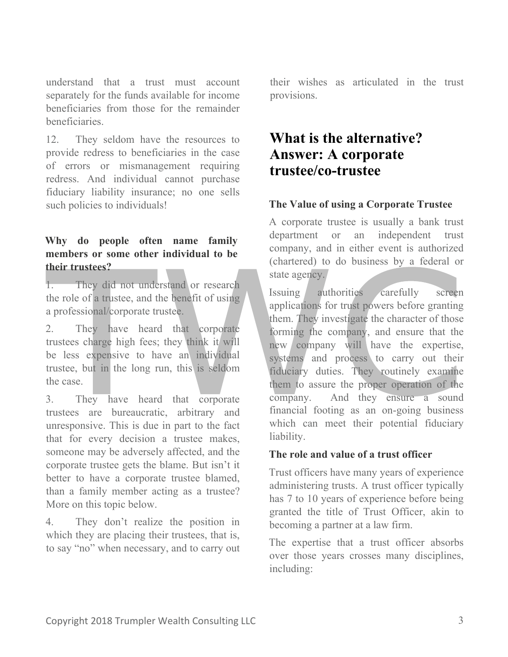understand that a trust must account separately for the funds available for income beneficiaries from those for the remainder beneficiaries.

12. They seldom have the resources to provide redress to beneficiaries in the case of errors or mismanagement requiring redress. And individual cannot purchase fiduciary liability insurance; no one sells such policies to individuals!

# **Why do people often name family members or some other individual to be their trustees?**

1. They did not understand or research the role of a trustee, and the benefit of using a professional/corporate trustee.

2. They have heard that corporate trustees charge high fees; they think it will be less expensive to have an individual trustee, but in the long run, this is seldom the case.

3. They have heard that corporate trustees are bureaucratic, arbitrary and unresponsive. This is due in part to the fact that for every decision a trustee makes, someone may be adversely affected, and the corporate trustee gets the blame. But isn't it better to have a corporate trustee blamed, than a family member acting as a trustee? More on this topic below.

4. They don't realize the position in which they are placing their trustees, that is, to say "no" when necessary, and to carry out

their wishes as articulated in the trust provisions.

# **What is the alternative? Answer: A corporate trustee/co-trustee**

# **The Value of using a Corporate Trustee**

A corporate trustee is usually a bank trust department or an independent trust company, and in either event is authorized (chartered) to do business by a federal or state agency.

Issuing authorities carefully screen applications for trust powers before granting them. They investigate the character of those forming the company, and ensure that the new company will have the expertise, systems and process to carry out their fiduciary duties. They routinely examine them to assure the proper operation of the company. And they ensure a sound financial footing as an on-going business which can meet their potential fiduciary liability.

### **The role and value of a trust officer**

Trust officers have many years of experience administering trusts. A trust officer typically has 7 to 10 years of experience before being granted the title of Trust Officer, akin to becoming a partner at a law firm.

The expertise that a trust officer absorbs over those years crosses many disciplines, including: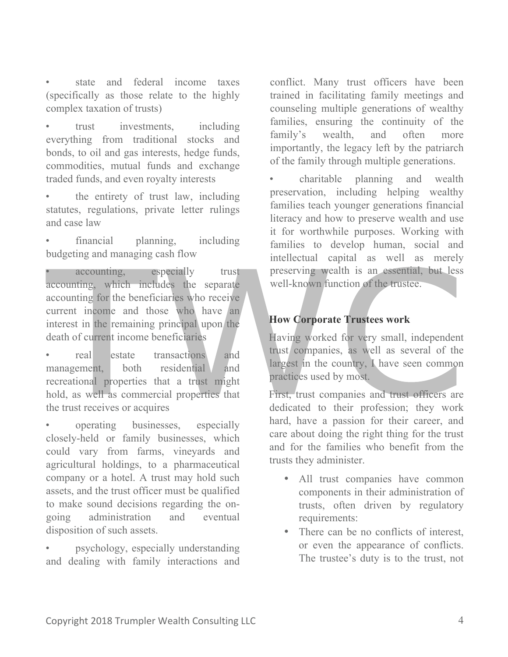state and federal income taxes (specifically as those relate to the highly complex taxation of trusts)

trust investments, including everything from traditional stocks and bonds, to oil and gas interests, hedge funds, commodities, mutual funds and exchange traded funds, and even royalty interests

the entirety of trust law, including statutes, regulations, private letter rulings and case law

financial planning, including budgeting and managing cash flow

accounting, especially trust accounting, which includes the separate accounting for the beneficiaries who receive current income and those who have an interest in the remaining principal upon the death of current income beneficiaries

real estate transactions and management, both residential and recreational properties that a trust might hold, as well as commercial properties that the trust receives or acquires

• operating businesses, especially closely-held or family businesses, which could vary from farms, vineyards and agricultural holdings, to a pharmaceutical company or a hotel. A trust may hold such assets, and the trust officer must be qualified to make sound decisions regarding the ongoing administration and eventual disposition of such assets.

• psychology, especially understanding and dealing with family interactions and conflict. Many trust officers have been trained in facilitating family meetings and counseling multiple generations of wealthy families, ensuring the continuity of the family's wealth, and often more importantly, the legacy left by the patriarch of the family through multiple generations.

• charitable planning and wealth preservation, including helping wealthy families teach younger generations financial literacy and how to preserve wealth and use it for worthwhile purposes. Working with families to develop human, social and intellectual capital as well as merely preserving wealth is an essential, but less well-known function of the trustee.

### **How Corporate Trustees work**

Having worked for very small, independent trust companies, as well as several of the largest in the country, I have seen common practices used by most.

First, trust companies and trust officers are dedicated to their profession; they work hard, have a passion for their career, and care about doing the right thing for the trust and for the families who benefit from the trusts they administer.

- All trust companies have common components in their administration of trusts, often driven by regulatory requirements:
- There can be no conflicts of interest, or even the appearance of conflicts. The trustee's duty is to the trust, not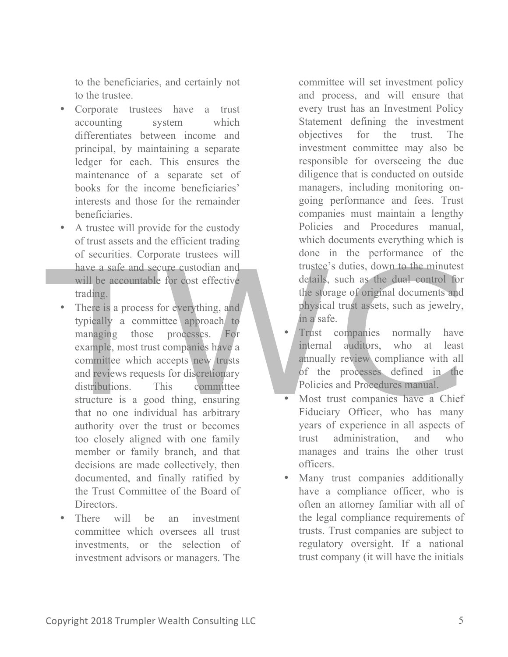to the beneficiaries, and certainly not to the trustee.

- Corporate trustees have a trust accounting system which differentiates between income and principal, by maintaining a separate ledger for each. This ensures the maintenance of a separate set of books for the income beneficiaries' interests and those for the remainder beneficiaries.
- A trustee will provide for the custody of trust assets and the efficient trading of securities. Corporate trustees will have a safe and secure custodian and will be accountable for cost effective trading.
- There is a process for everything, and typically a committee approach to managing those processes. For example, most trust companies have a committee which accepts new trusts and reviews requests for discretionary distributions. This committee structure is a good thing, ensuring that no one individual has arbitrary authority over the trust or becomes too closely aligned with one family member or family branch, and that decisions are made collectively, then documented, and finally ratified by the Trust Committee of the Board of Directors.
- There will be an investment committee which oversees all trust investments, or the selection of investment advisors or managers. The

committee will set investment policy and process, and will ensure that every trust has an Investment Policy Statement defining the investment objectives for the trust. The investment committee may also be responsible for overseeing the due diligence that is conducted on outside managers, including monitoring ongoing performance and fees. Trust companies must maintain a lengthy Policies and Procedures manual, which documents everything which is done in the performance of the trustee's duties, down to the minutest details, such as the dual control for the storage of original documents and physical trust assets, such as jewelry, in a safe.

- Trust companies normally have internal auditors, who at least annually review compliance with all of the processes defined in the Policies and Procedures manual.
- Most trust companies have a Chief Fiduciary Officer, who has many years of experience in all aspects of trust administration, and who manages and trains the other trust officers.
- Many trust companies additionally have a compliance officer, who is often an attorney familiar with all of the legal compliance requirements of trusts. Trust companies are subject to regulatory oversight. If a national trust company (it will have the initials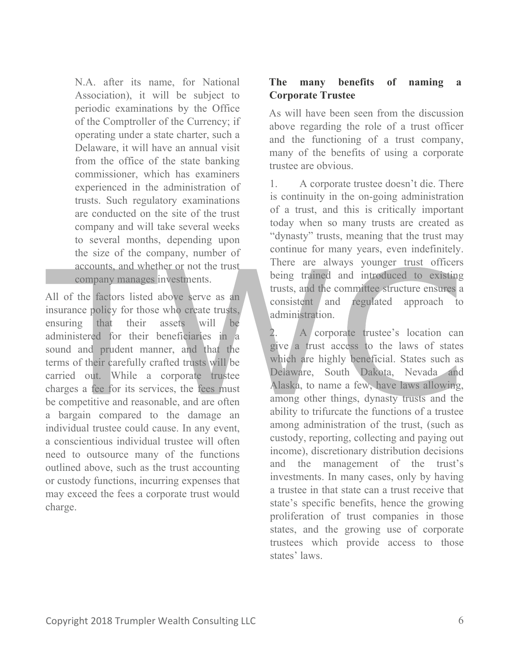N.A. after its name, for National Association), it will be subject to periodic examinations by the Office of the Comptroller of the Currency; if operating under a state charter, such a Delaware, it will have an annual visit from the office of the state banking commissioner, which has examiners experienced in the administration of trusts. Such regulatory examinations are conducted on the site of the trust company and will take several weeks to several months, depending upon the size of the company, number of accounts, and whether or not the trust company manages investments.

All of the factors listed above serve as an insurance policy for those who create trusts, ensuring that their assets will be administered for their beneficiaries in a sound and prudent manner, and that the terms of their carefully crafted trusts will be carried out. While a corporate trustee charges a fee for its services, the fees must be competitive and reasonable, and are often a bargain compared to the damage an individual trustee could cause. In any event, a conscientious individual trustee will often need to outsource many of the functions outlined above, such as the trust accounting or custody functions, incurring expenses that may exceed the fees a corporate trust would charge.

# **The many benefits of naming a Corporate Trustee**

As will have been seen from the discussion above regarding the role of a trust officer and the functioning of a trust company, many of the benefits of using a corporate trustee are obvious.

1. A corporate trustee doesn't die. There is continuity in the on-going administration of a trust, and this is critically important today when so many trusts are created as "dynasty" trusts, meaning that the trust may continue for many years, even indefinitely. There are always younger trust officers being trained and introduced to existing trusts, and the committee structure ensures a consistent and regulated approach to administration.

2. A corporate trustee's location can give a trust access to the laws of states which are highly beneficial. States such as Delaware, South Dakota, Nevada and Alaska, to name a few, have laws allowing, among other things, dynasty trusts and the ability to trifurcate the functions of a trustee among administration of the trust, (such as custody, reporting, collecting and paying out income), discretionary distribution decisions and the management of the trust's investments. In many cases, only by having a trustee in that state can a trust receive that state's specific benefits, hence the growing proliferation of trust companies in those states, and the growing use of corporate trustees which provide access to those states' laws.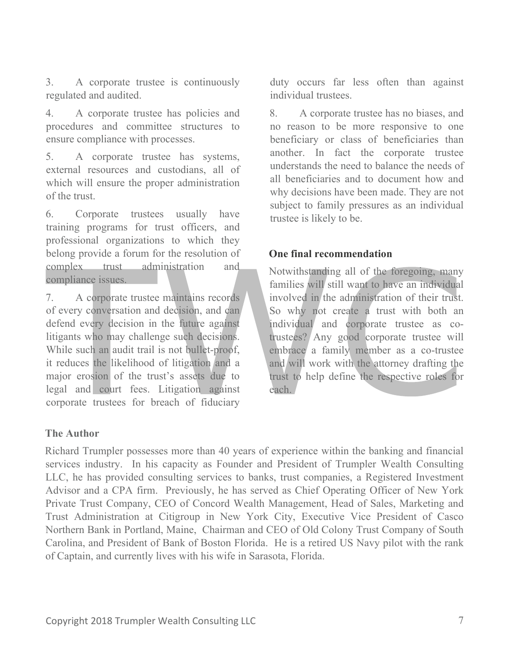3. A corporate trustee is continuously regulated and audited.

4. A corporate trustee has policies and procedures and committee structures to ensure compliance with processes.

5. A corporate trustee has systems, external resources and custodians, all of which will ensure the proper administration of the trust.

6. Corporate trustees usually have training programs for trust officers, and professional organizations to which they belong provide a forum for the resolution of complex trust administration and compliance issues.

7. A corporate trustee maintains records of every conversation and decision, and can defend every decision in the future against litigants who may challenge such decisions. While such an audit trail is not bullet-proof, it reduces the likelihood of litigation and a major erosion of the trust's assets due to legal and court fees. Litigation against corporate trustees for breach of fiduciary

duty occurs far less often than against individual trustees.

8. A corporate trustee has no biases, and no reason to be more responsive to one beneficiary or class of beneficiaries than another. In fact the corporate trustee understands the need to balance the needs of all beneficiaries and to document how and why decisions have been made. They are not subject to family pressures as an individual trustee is likely to be.

### **One final recommendation**

Notwithstanding all of the foregoing, many families will still want to have an individual involved in the administration of their trust. So why not create a trust with both an individual and corporate trustee as cotrustees? Any good corporate trustee will embrace a family member as a co-trustee and will work with the attorney drafting the trust to help define the respective roles for each.

### **The Author**

Richard Trumpler possesses more than 40 years of experience within the banking and financial services industry. In his capacity as Founder and President of Trumpler Wealth Consulting LLC, he has provided consulting services to banks, trust companies, a Registered Investment Advisor and a CPA firm. Previously, he has served as Chief Operating Officer of New York Private Trust Company, CEO of Concord Wealth Management, Head of Sales, Marketing and Trust Administration at Citigroup in New York City, Executive Vice President of Casco Northern Bank in Portland, Maine, Chairman and CEO of Old Colony Trust Company of South Carolina, and President of Bank of Boston Florida. He is a retired US Navy pilot with the rank of Captain, and currently lives with his wife in Sarasota, Florida.